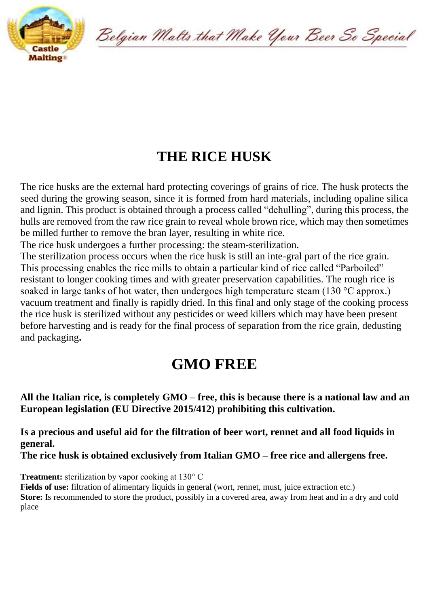

Belgian Malts that Make Your Beer So Special

## **THE RICE HUSK**

The rice husks are the external hard protecting coverings of grains of rice. The husk protects the seed during the growing season, since it is formed from hard materials, including opaline silica and lignin. This product is obtained through a process called "dehulling", during this process, the hulls are removed from the raw rice grain to reveal whole brown rice, which may then sometimes be milled further to remove the bran layer, resulting in white rice.

The rice husk undergoes a further processing: the steam-sterilization.

The sterilization process occurs when the rice husk is still an inte-gral part of the rice grain. This processing enables the rice mills to obtain a particular kind of rice called "Parboiled" resistant to longer cooking times and with greater preservation capabilities. The rough rice is soaked in large tanks of hot water, then undergoes high temperature steam (130 °C approx.) vacuum treatment and finally is rapidly dried. In this final and only stage of the cooking process the rice husk is sterilized without any pesticides or weed killers which may have been present before harvesting and is ready for the final process of separation from the rice grain, dedusting and packaging**.**

## **GMO FREE**

**All the Italian rice, is completely GMO – free, this is because there is a national law and an European legislation (EU Directive 2015/412) prohibiting this cultivation.**

**Is a precious and useful aid for the filtration of beer wort, rennet and all food liquids in general.**

**The rice husk is obtained exclusively from Italian GMO – free rice and allergens free.**

**Treatment:** sterilization by vapor cooking at 130° C

**Fields of use:** filtration of alimentary liquids in general (wort, rennet, must, juice extraction etc.) **Store:** Is recommended to store the product, possibly in a covered area, away from heat and in a dry and cold place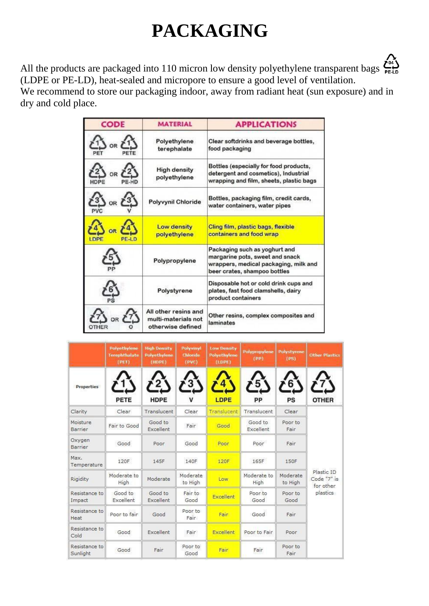## **PACKAGING**



| <b>CODE</b>             | <b>MATERIAL</b>                                                  | <b>APPLICATIONS</b>                                                                                                                       |  |  |  |
|-------------------------|------------------------------------------------------------------|-------------------------------------------------------------------------------------------------------------------------------------------|--|--|--|
| OR                      | Polyethylene<br>terephalate                                      | Clear softdrinks and beverage bottles,<br>food packaging                                                                                  |  |  |  |
|                         | <b>High density</b><br>polyethylene                              | Bottles (especially for food products,<br>detergent and cosmetics), Industrial<br>wrapping and film, sheets, plastic bags                 |  |  |  |
|                         | Polyvynil Chloride                                               | Bottles, packaging film, credit cards,<br>water containers, water pipes                                                                   |  |  |  |
| <b>LDPF</b><br>$PE-1.0$ | <b>Low density</b><br>polyethylene                               | Cling film, plastic bags, flexible<br>containers and food wrap                                                                            |  |  |  |
|                         | Polypropylene                                                    | Packaging such as yoghurt and<br>margarine pots, sweet and snack<br>wrappers, medical packaging, milk and<br>beer crates, shampoo bottles |  |  |  |
|                         | Polystyrene                                                      | Disposable hot or cold drink cups and<br>plates, fast food clamshells, dairy<br>product containers                                        |  |  |  |
|                         | All other resins and<br>multi-materials not<br>otherwise defined | Other resins, complex composites and<br>laminates                                                                                         |  |  |  |

|                           | Polyethylene<br>Terephthalate<br>(PET) | <b>High Density</b><br>Polyethylene<br>(HDPE) | Polyvinyl<br>Chioride<br>(PVC) | <b>Low Density</b><br><b>Polyethylene</b><br>(LDFE) | Polypropylene<br>(PP) | Polystyrene<br>(PS) | <b>Other Plastics</b>                              |
|---------------------------|----------------------------------------|-----------------------------------------------|--------------------------------|-----------------------------------------------------|-----------------------|---------------------|----------------------------------------------------|
| Properties                | <b>PETE</b>                            | $\ddot{z}$<br>HDPE                            | $\mathbf{3}$<br>v              | LDPE                                                | 5<br>PP               | O<br>PS             | <b>OTHER</b>                                       |
| Clarity                   | Clear                                  | Translucent                                   | Clear                          | Translucent                                         | Translucent           | Clear               | Plastic ID<br>Code "7" is<br>for other<br>plastics |
| Moisture<br>Barrier       | Fair to Good                           | Good to<br>Excellent                          | Fair                           | Good                                                | Good to<br>Excellent  | Poor to<br>Fair     |                                                    |
| Oxygen<br>Barrier         | Good                                   | Poor                                          | Good                           | Poor                                                | Poor                  | Fair                |                                                    |
| Max.<br>Temperature       | 120F                                   | 145F                                          | 140F                           | 120F                                                | 165F                  | 150F                |                                                    |
| Rigidity                  | Moderate to<br>High                    | Moderate                                      | Moderate<br>to High            | Low                                                 | Moderate to<br>High   | Moderate<br>to High |                                                    |
| Resistance to<br>Impact   | Good to<br>Excellent                   | Good to<br>Excellent                          | Fair to<br>Good                | <b>Excellent</b>                                    | Poor to<br>Good       | Poor to<br>Good     |                                                    |
| Resistance to<br>Heat     | Poor to fair                           | Good                                          | Poor to<br>Fair                | Fair                                                | Good                  | Fair                |                                                    |
| Resistance to<br>Cold     | Good                                   | Excellent                                     | Fair                           | Excellent                                           | Poor to Fair          | Poor                |                                                    |
| Resistance to<br>Sunlight | Good                                   | Fair                                          | Poor to<br>Good                | Fair                                                | Fair                  | Poor to<br>Fair     |                                                    |